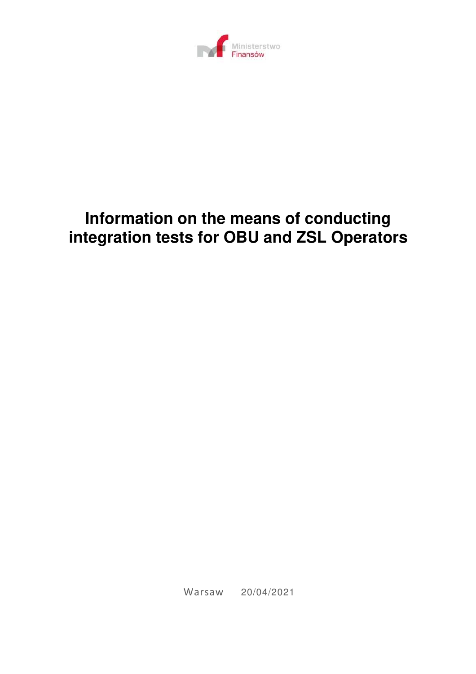

# **Information on the means of conducting integration tests for OBU and ZSL Operators**

Warsaw 20/04/2021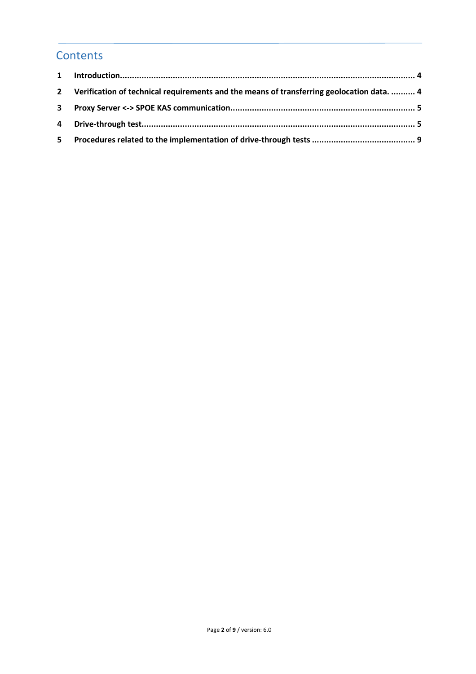### **Contents**

| 2 Verification of technical requirements and the means of transferring geolocation data.  4 |  |
|---------------------------------------------------------------------------------------------|--|
|                                                                                             |  |
|                                                                                             |  |
|                                                                                             |  |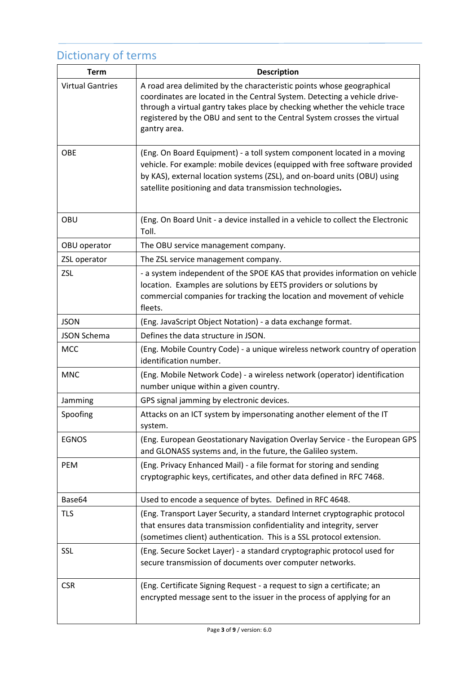# Dictionary of terms

| <b>Term</b>             | <b>Description</b>                                                                                                                                                                                                                                                                                                           |
|-------------------------|------------------------------------------------------------------------------------------------------------------------------------------------------------------------------------------------------------------------------------------------------------------------------------------------------------------------------|
| <b>Virtual Gantries</b> | A road area delimited by the characteristic points whose geographical<br>coordinates are located in the Central System. Detecting a vehicle drive-<br>through a virtual gantry takes place by checking whether the vehicle trace<br>registered by the OBU and sent to the Central System crosses the virtual<br>gantry area. |
| <b>OBE</b>              | (Eng. On Board Equipment) - a toll system component located in a moving<br>vehicle. For example: mobile devices (equipped with free software provided<br>by KAS), external location systems (ZSL), and on-board units (OBU) using<br>satellite positioning and data transmission technologies.                               |
| OBU                     | (Eng. On Board Unit - a device installed in a vehicle to collect the Electronic<br>Toll.                                                                                                                                                                                                                                     |
| OBU operator            | The OBU service management company.                                                                                                                                                                                                                                                                                          |
| ZSL operator            | The ZSL service management company.                                                                                                                                                                                                                                                                                          |
| <b>ZSL</b>              | - a system independent of the SPOE KAS that provides information on vehicle<br>location. Examples are solutions by EETS providers or solutions by<br>commercial companies for tracking the location and movement of vehicle<br>fleets.                                                                                       |
| <b>JSON</b>             | (Eng. JavaScript Object Notation) - a data exchange format.                                                                                                                                                                                                                                                                  |
| <b>JSON Schema</b>      | Defines the data structure in JSON.                                                                                                                                                                                                                                                                                          |
| <b>MCC</b>              | (Eng. Mobile Country Code) - a unique wireless network country of operation<br>identification number.                                                                                                                                                                                                                        |
| <b>MNC</b>              | (Eng. Mobile Network Code) - a wireless network (operator) identification<br>number unique within a given country.                                                                                                                                                                                                           |
| Jamming                 | GPS signal jamming by electronic devices.                                                                                                                                                                                                                                                                                    |
| Spoofing                | Attacks on an ICT system by impersonating another element of the IT<br>system.                                                                                                                                                                                                                                               |
| <b>EGNOS</b>            | (Eng. European Geostationary Navigation Overlay Service - the European GPS<br>and GLONASS systems and, in the future, the Galileo system.                                                                                                                                                                                    |
| PEM                     | (Eng. Privacy Enhanced Mail) - a file format for storing and sending<br>cryptographic keys, certificates, and other data defined in RFC 7468.                                                                                                                                                                                |
| Base64                  | Used to encode a sequence of bytes. Defined in RFC 4648.                                                                                                                                                                                                                                                                     |
| <b>TLS</b>              | (Eng. Transport Layer Security, a standard Internet cryptographic protocol<br>that ensures data transmission confidentiality and integrity, server<br>(sometimes client) authentication. This is a SSL protocol extension.                                                                                                   |
| <b>SSL</b>              | (Eng. Secure Socket Layer) - a standard cryptographic protocol used for<br>secure transmission of documents over computer networks.                                                                                                                                                                                          |
| <b>CSR</b>              | (Eng. Certificate Signing Request - a request to sign a certificate; an<br>encrypted message sent to the issuer in the process of applying for an                                                                                                                                                                            |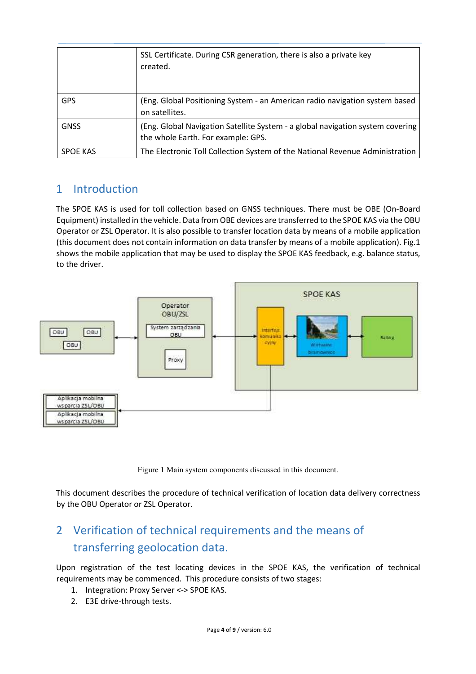|                 | SSL Certificate. During CSR generation, there is also a private key<br>created.                                      |
|-----------------|----------------------------------------------------------------------------------------------------------------------|
| <b>GPS</b>      | (Eng. Global Positioning System - an American radio navigation system based<br>on satellites.                        |
| <b>GNSS</b>     | (Eng. Global Navigation Satellite System - a global navigation system covering<br>the whole Earth. For example: GPS. |
| <b>SPOE KAS</b> | The Electronic Toll Collection System of the National Revenue Administration                                         |

#### 1 Introduction

The SPOE KAS is used for toll collection based on GNSS techniques. There must be OBE (On-Board Equipment) installed in the vehicle. Data from OBE devices are transferred to the SPOE KAS via the OBU Operator or ZSL Operator. It is also possible to transfer location data by means of a mobile application (this document does not contain information on data transfer by means of a mobile application). Fig.1 shows the mobile application that may be used to display the SPOE KAS feedback, e.g. balance status, to the driver.



Figure 1 Main system components discussed in this document.

This document describes the procedure of technical verification of location data delivery correctness by the OBU Operator or ZSL Operator.

## 2 Verification of technical requirements and the means of transferring geolocation data.

Upon registration of the test locating devices in the SPOE KAS, the verification of technical requirements may be commenced. This procedure consists of two stages:

- 1. Integration: Proxy Server <-> SPOE KAS.
- 2. E3E drive-through tests.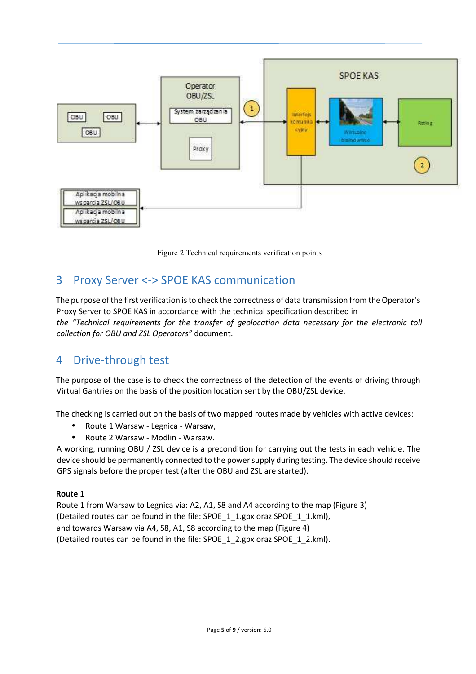



### 3 Proxy Server <-> SPOE KAS communication

The purpose of the first verification is to check the correctness of data transmission from the Operator's Proxy Server to SPOE KAS in accordance with the technical specification described in *the "Technical requirements for the transfer of geolocation data necessary for the electronic toll collection for OBU and ZSL Operators"* document.

#### 4 Drive-through test

The purpose of the case is to check the correctness of the detection of the events of driving through Virtual Gantries on the basis of the position location sent by the OBU/ZSL device.

The checking is carried out on the basis of two mapped routes made by vehicles with active devices:

- Route 1 Warsaw Legnica Warsaw,
- Route 2 Warsaw Modlin Warsaw.

A working, running OBU / ZSL device is a precondition for carrying out the tests in each vehicle. The device should be permanently connected to the power supply during testing. The device should receive GPS signals before the proper test (after the OBU and ZSL are started).

#### **Route 1**

Route 1 from Warsaw to Legnica via: A2, A1, S8 and A4 according to the map (Figure 3) (Detailed routes can be found in the file: SPOE\_1\_1.gpx oraz SPOE\_1\_1.kml), and towards Warsaw via A4, S8, A1, S8 according to the map (Figure 4) (Detailed routes can be found in the file: SPOE 1 2.gpx oraz SPOE 1 2.kml).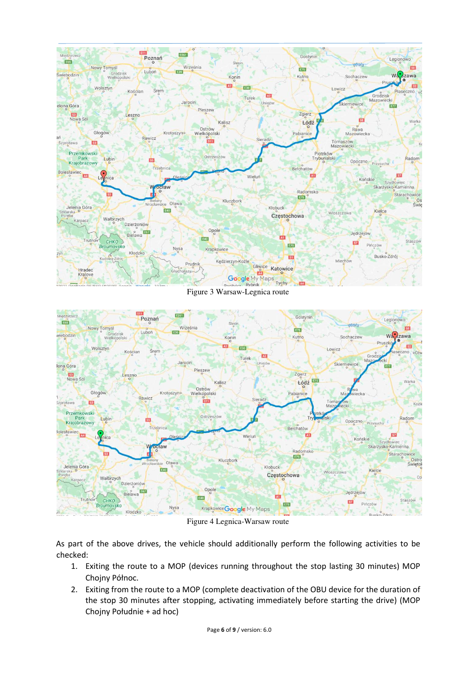

Figure 3 Warsaw-Legnica route



Figure 4 Legnica-Warsaw route

As part of the above drives, the vehicle should additionally perform the following activities to be checked:

- 1. Exiting the route to a MOP (devices running throughout the stop lasting 30 minutes) MOP Chojny Północ.
- 2. Exiting from the route to a MOP (complete deactivation of the OBU device for the duration of the stop 30 minutes after stopping, activating immediately before starting the drive) (MOP Chojny Południe + ad hoc)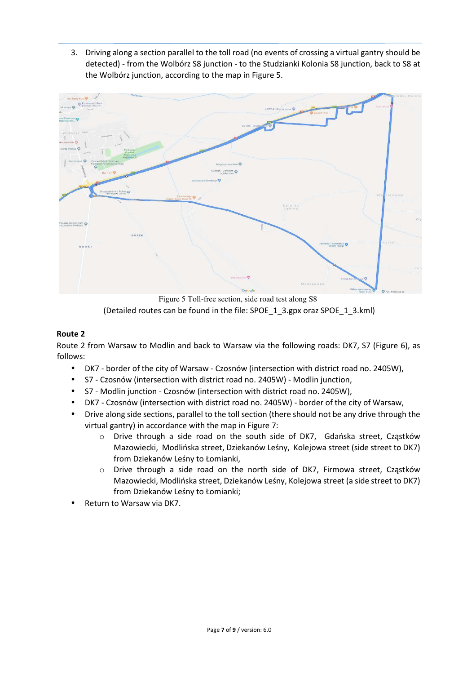3. Driving along a section parallel to the toll road (no events of crossing a virtual gantry should be detected) - from the Wolbórz S8 junction - to the Studzianki Kolonia S8 junction, back to S8 at the Wolbórz junction, according to the map in Figure 5.



Figure 5 Toll-free section, side road test along S8 (Detailed routes can be found in the file: SPOE\_1\_3.gpx oraz SPOE\_1\_3.kml)

#### **Route 2**

Route 2 from Warsaw to Modlin and back to Warsaw via the following roads: DK7, S7 (Figure 6), as follows:

- DK7 border of the city of Warsaw Czosnów (intersection with district road no. 2405W),
- S7 Czosnów (intersection with district road no. 2405W) Modlin junction,
- S7 Modlin junction Czosnów (intersection with district road no. 2405W),
- DK7 Czosnów (intersection with district road no. 2405W) border of the city of Warsaw,
- Drive along side sections, parallel to the toll section (there should not be any drive through the virtual gantry) in accordance with the map in Figure 7:
	- o Drive through a side road on the south side of DK7, Gdańska street, Cząstków Mazowiecki, Modlińska street, Dziekanów Leśny, Kolejowa street (side street to DK7) from Dziekanów Leśny to Łomianki,
	- $\circ$  Drive through a side road on the north side of DK7, Firmowa street, Cząstków Mazowiecki, Modlińska street, Dziekanów Leśny, Kolejowa street (a side street to DK7) from Dziekanów Leśny to Łomianki;
- Return to Warsaw via DK7.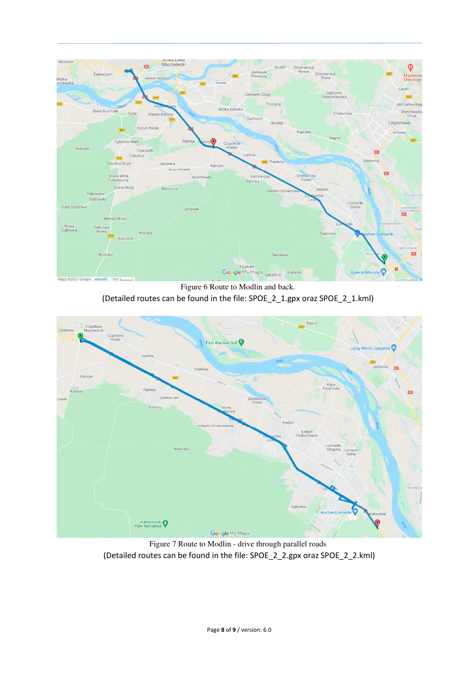

Figure 6 Route to Modlin and back. (Detailed routes can be found in the file: SPOE\_2\_1.gpx oraz SPOE\_2\_1.kml)



Figure 7 Route to Modlin - drive through parallel roads (Detailed routes can be found in the file: SPOE\_2\_2.gpx oraz SPOE\_2\_2.kml)